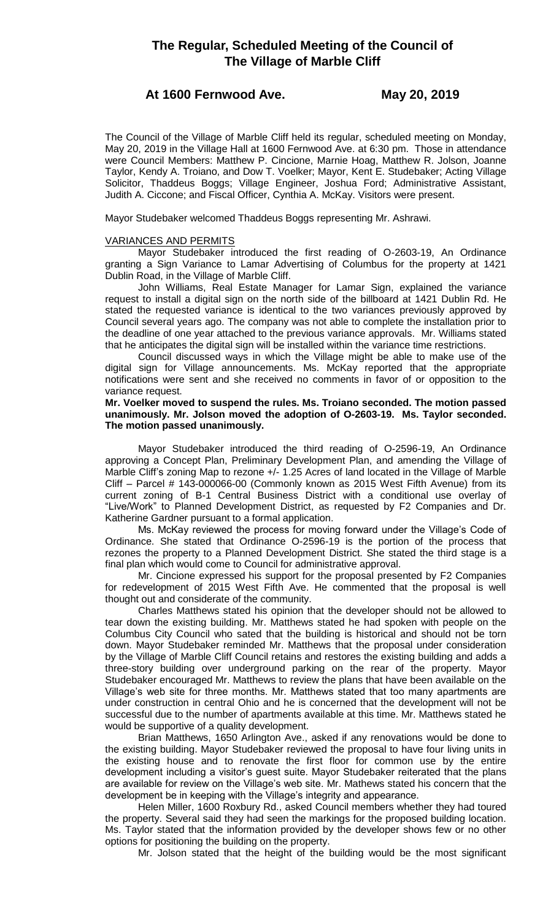# **At 1600 Fernwood Ave. May 20, 2019**

The Council of the Village of Marble Cliff held its regular, scheduled meeting on Monday, May 20, 2019 in the Village Hall at 1600 Fernwood Ave. at 6:30 pm. Those in attendance were Council Members: Matthew P. Cincione, Marnie Hoag, Matthew R. Jolson, Joanne Taylor, Kendy A. Troiano, and Dow T. Voelker; Mayor, Kent E. Studebaker; Acting Village Solicitor, Thaddeus Boggs; Village Engineer, Joshua Ford; Administrative Assistant, Judith A. Ciccone; and Fiscal Officer, Cynthia A. McKay. Visitors were present.

Mayor Studebaker welcomed Thaddeus Boggs representing Mr. Ashrawi.

# VARIANCES AND PERMITS

Mayor Studebaker introduced the first reading of O-2603-19, An Ordinance granting a Sign Variance to Lamar Advertising of Columbus for the property at 1421 Dublin Road, in the Village of Marble Cliff.

John Williams, Real Estate Manager for Lamar Sign, explained the variance request to install a digital sign on the north side of the billboard at 1421 Dublin Rd. He stated the requested variance is identical to the two variances previously approved by Council several years ago. The company was not able to complete the installation prior to the deadline of one year attached to the previous variance approvals. Mr. Williams stated that he anticipates the digital sign will be installed within the variance time restrictions.

Council discussed ways in which the Village might be able to make use of the digital sign for Village announcements. Ms. McKay reported that the appropriate notifications were sent and she received no comments in favor of or opposition to the variance request.

**Mr. Voelker moved to suspend the rules. Ms. Troiano seconded. The motion passed unanimously. Mr. Jolson moved the adoption of O-2603-19. Ms. Taylor seconded. The motion passed unanimously.** 

Mayor Studebaker introduced the third reading of O-2596-19, An Ordinance approving a Concept Plan, Preliminary Development Plan, and amending the Village of Marble Cliff's zoning Map to rezone +/- 1.25 Acres of land located in the Village of Marble Cliff – Parcel # 143-000066-00 (Commonly known as 2015 West Fifth Avenue) from its current zoning of B-1 Central Business District with a conditional use overlay of "Live/Work" to Planned Development District, as requested by F2 Companies and Dr. Katherine Gardner pursuant to a formal application.

Ms. McKay reviewed the process for moving forward under the Village's Code of Ordinance. She stated that Ordinance O-2596-19 is the portion of the process that rezones the property to a Planned Development District. She stated the third stage is a final plan which would come to Council for administrative approval.

Mr. Cincione expressed his support for the proposal presented by F2 Companies for redevelopment of 2015 West Fifth Ave. He commented that the proposal is well thought out and considerate of the community.

Charles Matthews stated his opinion that the developer should not be allowed to tear down the existing building. Mr. Matthews stated he had spoken with people on the Columbus City Council who sated that the building is historical and should not be torn down. Mayor Studebaker reminded Mr. Matthews that the proposal under consideration by the Village of Marble Cliff Council retains and restores the existing building and adds a three-story building over underground parking on the rear of the property. Mayor Studebaker encouraged Mr. Matthews to review the plans that have been available on the Village's web site for three months. Mr. Matthews stated that too many apartments are under construction in central Ohio and he is concerned that the development will not be successful due to the number of apartments available at this time. Mr. Matthews stated he would be supportive of a quality development.

Brian Matthews, 1650 Arlington Ave., asked if any renovations would be done to the existing building. Mayor Studebaker reviewed the proposal to have four living units in the existing house and to renovate the first floor for common use by the entire development including a visitor's guest suite. Mayor Studebaker reiterated that the plans are available for review on the Village's web site. Mr. Mathews stated his concern that the development be in keeping with the Village's integrity and appearance.

Helen Miller, 1600 Roxbury Rd., asked Council members whether they had toured the property. Several said they had seen the markings for the proposed building location. Ms. Taylor stated that the information provided by the developer shows few or no other options for positioning the building on the property.

Mr. Jolson stated that the height of the building would be the most significant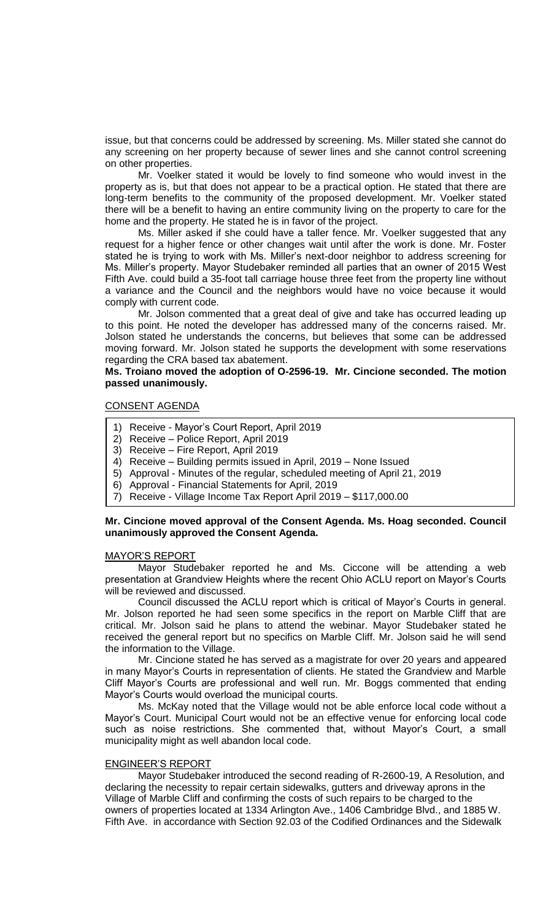issue, but that concerns could be addressed by screening. Ms. Miller stated she cannot do any screening on her property because of sewer lines and she cannot control screening on other properties.

Mr. Voelker stated it would be lovely to find someone who would invest in the property as is, but that does not appear to be a practical option. He stated that there are long-term benefits to the community of the proposed development. Mr. Voelker stated there will be a benefit to having an entire community living on the property to care for the home and the property. He stated he is in favor of the project.

Ms. Miller asked if she could have a taller fence. Mr. Voelker suggested that any request for a higher fence or other changes wait until after the work is done. Mr. Foster stated he is trying to work with Ms. Miller's next-door neighbor to address screening for Ms. Miller's property. Mayor Studebaker reminded all parties that an owner of 2015 West Fifth Ave. could build a 35-foot tall carriage house three feet from the property line without a variance and the Council and the neighbors would have no voice because it would comply with current code.

Mr. Jolson commented that a great deal of give and take has occurred leading up to this point. He noted the developer has addressed many of the concerns raised. Mr. Jolson stated he understands the concerns, but believes that some can be addressed moving forward. Mr. Jolson stated he supports the development with some reservations regarding the CRA based tax abatement.

# **Ms. Troiano moved the adoption of O-2596-19. Mr. Cincione seconded. The motion passed unanimously.**

# CONSENT AGENDA

- 1) Receive Mayor's Court Report, April 2019
- 2) Receive Police Report, April 2019
- 3) Receive Fire Report, April 2019
- 4) Receive Building permits issued in April, 2019 None Issued
- 5) Approval Minutes of the regular, scheduled meeting of April 21, 2019
- 6) Approval Financial Statements for April, 2019
- 7) Receive Village Income Tax Report April 2019 \$117,000.00

# **Mr. Cincione moved approval of the Consent Agenda. Ms. Hoag seconded. Council unanimously approved the Consent Agenda.**

## MAYOR'S REPORT

Mayor Studebaker reported he and Ms. Ciccone will be attending a web presentation at Grandview Heights where the recent Ohio ACLU report on Mayor's Courts will be reviewed and discussed.

Council discussed the ACLU report which is critical of Mayor's Courts in general. Mr. Jolson reported he had seen some specifics in the report on Marble Cliff that are critical. Mr. Jolson said he plans to attend the webinar. Mayor Studebaker stated he received the general report but no specifics on Marble Cliff. Mr. Jolson said he will send the information to the Village.

Mr. Cincione stated he has served as a magistrate for over 20 years and appeared in many Mayor's Courts in representation of clients. He stated the Grandview and Marble Cliff Mayor's Courts are professional and well run. Mr. Boggs commented that ending Mayor's Courts would overload the municipal courts.

Ms. McKay noted that the Village would not be able enforce local code without a Mayor's Court. Municipal Court would not be an effective venue for enforcing local code such as noise restrictions. She commented that, without Mayor's Court, a small municipality might as well abandon local code.

#### ENGINEER'S REPORT

Mayor Studebaker introduced the second reading of R-2600-19, A Resolution, and declaring the necessity to repair certain sidewalks, gutters and driveway aprons in the Village of Marble Cliff and confirming the costs of such repairs to be charged to the owners of properties located at 1334 Arlington Ave., 1406 Cambridge Blvd., and 1885 W. Fifth Ave. in accordance with Section 92.03 of the Codified Ordinances and the Sidewalk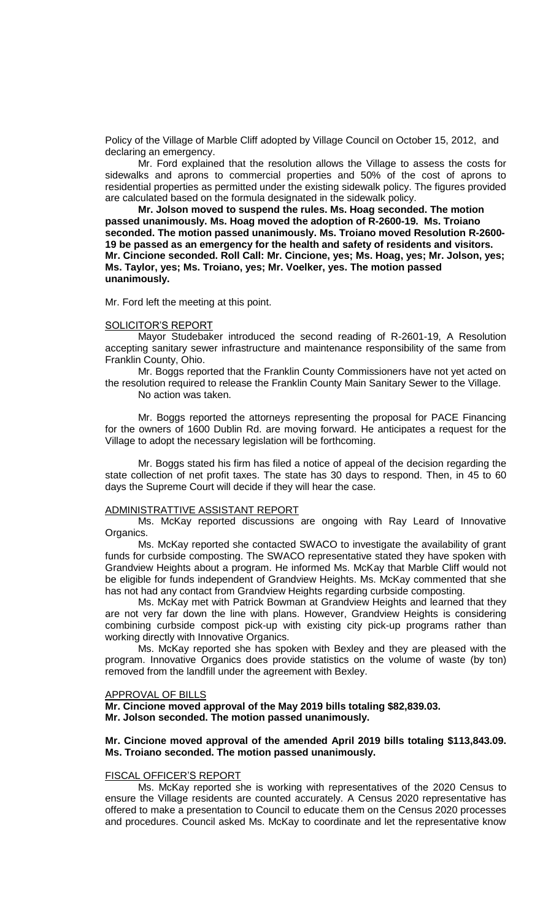Policy of the Village of Marble Cliff adopted by Village Council on October 15, 2012, and declaring an emergency.

Mr. Ford explained that the resolution allows the Village to assess the costs for sidewalks and aprons to commercial properties and 50% of the cost of aprons to residential properties as permitted under the existing sidewalk policy. The figures provided are calculated based on the formula designated in the sidewalk policy.

**Mr. Jolson moved to suspend the rules. Ms. Hoag seconded. The motion passed unanimously. Ms. Hoag moved the adoption of R-2600-19. Ms. Troiano seconded. The motion passed unanimously. Ms. Troiano moved Resolution R-2600- 19 be passed as an emergency for the health and safety of residents and visitors. Mr. Cincione seconded. Roll Call: Mr. Cincione, yes; Ms. Hoag, yes; Mr. Jolson, yes; Ms. Taylor, yes; Ms. Troiano, yes; Mr. Voelker, yes. The motion passed unanimously.**

Mr. Ford left the meeting at this point.

#### SOLICITOR'S REPORT

Mayor Studebaker introduced the second reading of R-2601-19, A Resolution accepting sanitary sewer infrastructure and maintenance responsibility of the same from Franklin County, Ohio.

Mr. Boggs reported that the Franklin County Commissioners have not yet acted on the resolution required to release the Franklin County Main Sanitary Sewer to the Village.

No action was taken.

Mr. Boggs reported the attorneys representing the proposal for PACE Financing for the owners of 1600 Dublin Rd. are moving forward. He anticipates a request for the Village to adopt the necessary legislation will be forthcoming.

Mr. Boggs stated his firm has filed a notice of appeal of the decision regarding the state collection of net profit taxes. The state has 30 days to respond. Then, in 45 to 60 days the Supreme Court will decide if they will hear the case.

## ADMINISTRATTIVE ASSISTANT REPORT

Ms. McKay reported discussions are ongoing with Ray Leard of Innovative Organics.

Ms. McKay reported she contacted SWACO to investigate the availability of grant funds for curbside composting. The SWACO representative stated they have spoken with Grandview Heights about a program. He informed Ms. McKay that Marble Cliff would not be eligible for funds independent of Grandview Heights. Ms. McKay commented that she has not had any contact from Grandview Heights regarding curbside composting.

Ms. McKay met with Patrick Bowman at Grandview Heights and learned that they are not very far down the line with plans. However, Grandview Heights is considering combining curbside compost pick-up with existing city pick-up programs rather than working directly with Innovative Organics.

Ms. McKay reported she has spoken with Bexley and they are pleased with the program. Innovative Organics does provide statistics on the volume of waste (by ton) removed from the landfill under the agreement with Bexley.

#### APPROVAL OF BILLS

**Mr. Cincione moved approval of the May 2019 bills totaling \$82,839.03. Mr. Jolson seconded. The motion passed unanimously.**

## **Mr. Cincione moved approval of the amended April 2019 bills totaling \$113,843.09. Ms. Troiano seconded. The motion passed unanimously.**

#### FISCAL OFFICER'S REPORT

Ms. McKay reported she is working with representatives of the 2020 Census to ensure the Village residents are counted accurately. A Census 2020 representative has offered to make a presentation to Council to educate them on the Census 2020 processes and procedures. Council asked Ms. McKay to coordinate and let the representative know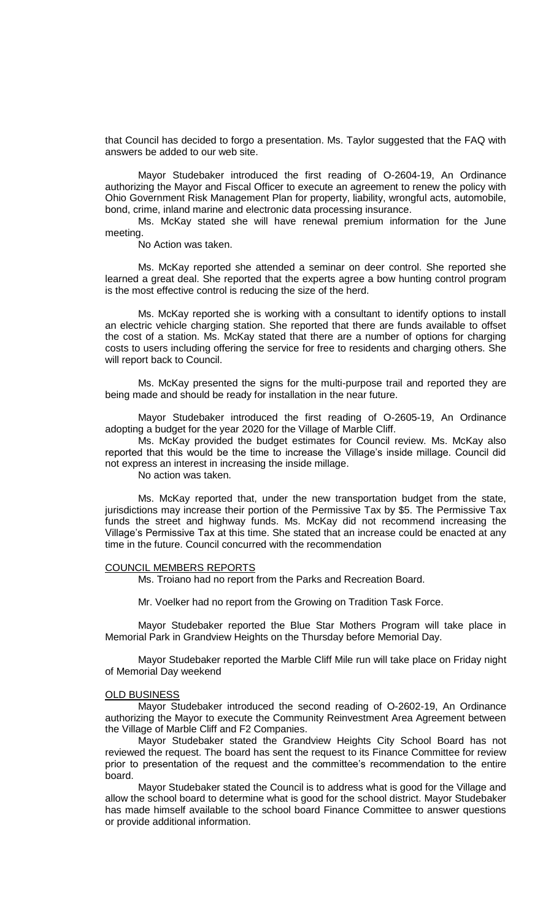that Council has decided to forgo a presentation. Ms. Taylor suggested that the FAQ with answers be added to our web site.

Mayor Studebaker introduced the first reading of O-2604-19, An Ordinance authorizing the Mayor and Fiscal Officer to execute an agreement to renew the policy with Ohio Government Risk Management Plan for property, liability, wrongful acts, automobile, bond, crime, inland marine and electronic data processing insurance.

Ms. McKay stated she will have renewal premium information for the June meeting.

No Action was taken.

Ms. McKay reported she attended a seminar on deer control. She reported she learned a great deal. She reported that the experts agree a bow hunting control program is the most effective control is reducing the size of the herd.

Ms. McKay reported she is working with a consultant to identify options to install an electric vehicle charging station. She reported that there are funds available to offset the cost of a station. Ms. McKay stated that there are a number of options for charging costs to users including offering the service for free to residents and charging others. She will report back to Council.

Ms. McKay presented the signs for the multi-purpose trail and reported they are being made and should be ready for installation in the near future.

Mayor Studebaker introduced the first reading of O-2605-19, An Ordinance adopting a budget for the year 2020 for the Village of Marble Cliff.

Ms. McKay provided the budget estimates for Council review. Ms. McKay also reported that this would be the time to increase the Village's inside millage. Council did not express an interest in increasing the inside millage.

No action was taken.

Ms. McKay reported that, under the new transportation budget from the state, jurisdictions may increase their portion of the Permissive Tax by \$5. The Permissive Tax funds the street and highway funds. Ms. McKay did not recommend increasing the Village's Permissive Tax at this time. She stated that an increase could be enacted at any time in the future. Council concurred with the recommendation

#### COUNCIL MEMBERS REPORTS

Ms. Troiano had no report from the Parks and Recreation Board.

Mr. Voelker had no report from the Growing on Tradition Task Force.

Mayor Studebaker reported the Blue Star Mothers Program will take place in Memorial Park in Grandview Heights on the Thursday before Memorial Day.

Mayor Studebaker reported the Marble Cliff Mile run will take place on Friday night of Memorial Day weekend

#### OLD BUSINESS

Mayor Studebaker introduced the second reading of O-2602-19, An Ordinance authorizing the Mayor to execute the Community Reinvestment Area Agreement between the Village of Marble Cliff and F2 Companies.

Mayor Studebaker stated the Grandview Heights City School Board has not reviewed the request. The board has sent the request to its Finance Committee for review prior to presentation of the request and the committee's recommendation to the entire board.

Mayor Studebaker stated the Council is to address what is good for the Village and allow the school board to determine what is good for the school district. Mayor Studebaker has made himself available to the school board Finance Committee to answer questions or provide additional information.